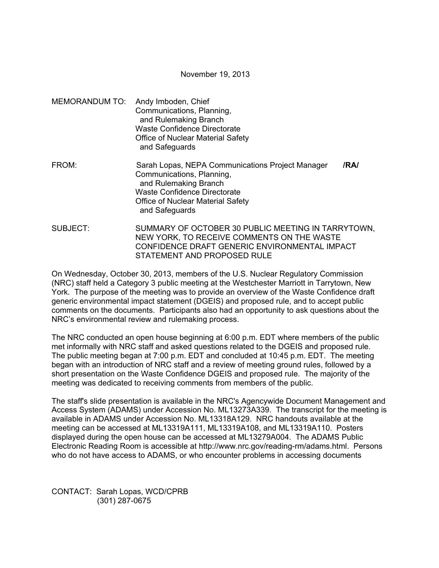November 19, 2013

MEMORANDUM TO: Andy Imboden, Chief Communications, Planning, and Rulemaking Branch Waste Confidence Directorate Office of Nuclear Material Safety and Safeguards FROM: Sarah Lopas, NEPA Communications Project Manager **/RA/**  Communications, Planning, and Rulemaking Branch

> Waste Confidence Directorate Office of Nuclear Material Safety

and Safeguards

SUBJECT: SUMMARY OF OCTOBER 30 PUBLIC MEETING IN TARRYTOWN, NEW YORK, TO RECEIVE COMMENTS ON THE WASTE CONFIDENCE DRAFT GENERIC ENVIRONMENTAL IMPACT STATEMENT AND PROPOSED RULE

On Wednesday, October 30, 2013, members of the U.S. Nuclear Regulatory Commission (NRC) staff held a Category 3 public meeting at the Westchester Marriott in Tarrytown, New York. The purpose of the meeting was to provide an overview of the Waste Confidence draft generic environmental impact statement (DGEIS) and proposed rule, and to accept public comments on the documents. Participants also had an opportunity to ask questions about the NRC's environmental review and rulemaking process.

The NRC conducted an open house beginning at 6:00 p.m. EDT where members of the public met informally with NRC staff and asked questions related to the DGEIS and proposed rule. The public meeting began at 7:00 p.m. EDT and concluded at 10:45 p.m. EDT. The meeting began with an introduction of NRC staff and a review of meeting ground rules, followed by a short presentation on the Waste Confidence DGEIS and proposed rule. The majority of the meeting was dedicated to receiving comments from members of the public.

The staff's slide presentation is available in the NRC's Agencywide Document Management and Access System (ADAMS) under Accession No. ML13273A339. The transcript for the meeting is available in ADAMS under Accession No. ML13318A129. NRC handouts available at the meeting can be accessed at ML13319A111, ML13319A108, and ML13319A110. Posters displayed during the open house can be accessed at ML13279A004. The ADAMS Public Electronic Reading Room is accessible at http://www.nrc.gov/reading-rm/adams.html. Persons who do not have access to ADAMS, or who encounter problems in accessing documents

CONTACT: Sarah Lopas, WCD/CPRB (301) 287-0675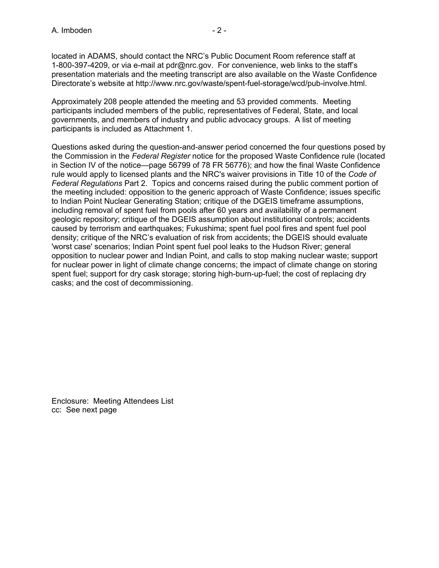located in ADAMS, should contact the NRC's Public Document Room reference staff at 1-800-397-4209, or via e-mail at pdr@nrc.gov. For convenience, web links to the staff's presentation materials and the meeting transcript are also available on the Waste Confidence Directorate's website at http://www.nrc.gov/waste/spent-fuel-storage/wcd/pub-involve.html.

Approximately 208 people attended the meeting and 53 provided comments. Meeting participants included members of the public, representatives of Federal, State, and local governments, and members of industry and public advocacy groups. A list of meeting participants is included as Attachment 1.

Questions asked during the question-and-answer period concerned the four questions posed by the Commission in the *Federal Register* notice for the proposed Waste Confidence rule (located in Section IV of the notice—page 56799 of 78 FR 56776); and how the final Waste Confidence rule would apply to licensed plants and the NRC's waiver provisions in Title 10 of the *Code of Federal Regulations* Part 2. Topics and concerns raised during the public comment portion of the meeting included: opposition to the generic approach of Waste Confidence; issues specific to Indian Point Nuclear Generating Station; critique of the DGEIS timeframe assumptions, including removal of spent fuel from pools after 60 years and availability of a permanent geologic repository; critique of the DGEIS assumption about institutional controls; accidents caused by terrorism and earthquakes; Fukushima; spent fuel pool fires and spent fuel pool density; critique of the NRC's evaluation of risk from accidents; the DGEIS should evaluate 'worst case' scenarios; Indian Point spent fuel pool leaks to the Hudson River; general opposition to nuclear power and Indian Point, and calls to stop making nuclear waste; support for nuclear power in light of climate change concerns; the impact of climate change on storing spent fuel; support for dry cask storage; storing high-burn-up-fuel; the cost of replacing dry casks; and the cost of decommissioning.

Enclosure: Meeting Attendees List cc: See next page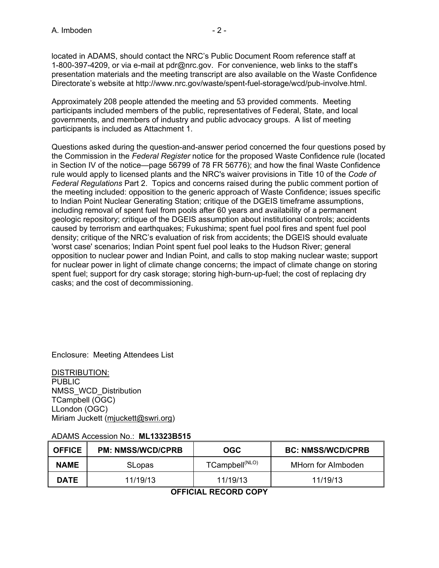located in ADAMS, should contact the NRC's Public Document Room reference staff at 1-800-397-4209, or via e-mail at pdr@nrc.gov. For convenience, web links to the staff's presentation materials and the meeting transcript are also available on the Waste Confidence Directorate's website at http://www.nrc.gov/waste/spent-fuel-storage/wcd/pub-involve.html.

Approximately 208 people attended the meeting and 53 provided comments. Meeting participants included members of the public, representatives of Federal, State, and local governments, and members of industry and public advocacy groups. A list of meeting participants is included as Attachment 1.

Questions asked during the question-and-answer period concerned the four questions posed by the Commission in the *Federal Register* notice for the proposed Waste Confidence rule (located in Section IV of the notice—page 56799 of 78 FR 56776); and how the final Waste Confidence rule would apply to licensed plants and the NRC's waiver provisions in Title 10 of the *Code of Federal Regulations* Part 2. Topics and concerns raised during the public comment portion of the meeting included: opposition to the generic approach of Waste Confidence; issues specific to Indian Point Nuclear Generating Station; critique of the DGEIS timeframe assumptions, including removal of spent fuel from pools after 60 years and availability of a permanent geologic repository; critique of the DGEIS assumption about institutional controls; accidents caused by terrorism and earthquakes; Fukushima; spent fuel pool fires and spent fuel pool density; critique of the NRC's evaluation of risk from accidents; the DGEIS should evaluate 'worst case' scenarios; Indian Point spent fuel pool leaks to the Hudson River; general opposition to nuclear power and Indian Point, and calls to stop making nuclear waste; support for nuclear power in light of climate change concerns; the impact of climate change on storing spent fuel; support for dry cask storage; storing high-burn-up-fuel; the cost of replacing dry casks; and the cost of decommissioning.

Enclosure: Meeting Attendees List

DISTRIBUTION: **PUBLIC** NMSS\_WCD\_Distribution TCampbell (OGC) LLondon (OGC) Miriam Juckett (mjuckett@swri.org)

## ADAMS Accession No.: **ML13323B515**

| <b>OFFICE</b> | <b>PM: NMSS/WCD/CPRB</b> | OGC                        | <b>BC: NMSS/WCD/CPRB</b> |
|---------------|--------------------------|----------------------------|--------------------------|
| <b>NAME</b>   | <b>SLopas</b>            | TCampbell <sup>(NLO)</sup> | MHorn for Almboden       |
| <b>DATE</b>   | 11/19/13                 | 11/19/13                   | 11/19/13                 |

**OFFICIAL RECORD COPY**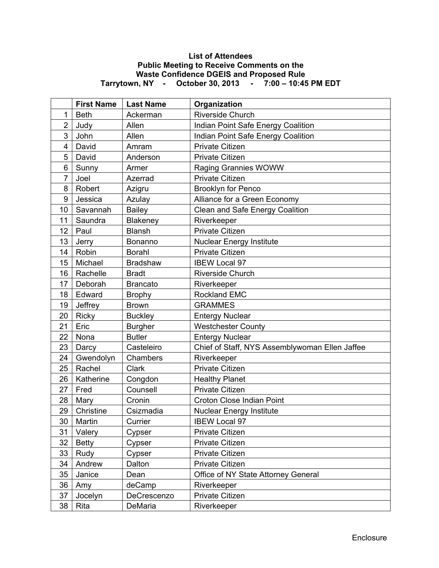## **List of Attendees Public Meeting to Receive Comments on the Waste Confidence DGEIS and Proposed Rule Tarrytown, NY - October 30, 2013 - 7:00 – 10:45 PM EDT**

|                  | <b>First Name</b> | <b>Last Name</b> | Organization                                   |
|------------------|-------------------|------------------|------------------------------------------------|
| 1                | <b>Beth</b>       | Ackerman         | <b>Riverside Church</b>                        |
| $\overline{2}$   | Judy              | Allen            | Indian Point Safe Energy Coalition             |
| 3                | John              | Allen            | Indian Point Safe Energy Coalition             |
| 4                | David             | Amram            | <b>Private Citizen</b>                         |
| 5                | David             | Anderson         | Private Citizen                                |
| 6                | Sunny             | Armer            | Raging Grannies WOWW                           |
| $\overline{7}$   | Joel              | Azerrad          | <b>Private Citizen</b>                         |
| 8                | Robert            | Azigru           | <b>Brooklyn for Penco</b>                      |
| $\boldsymbol{9}$ | Jessica           | Azulay           | Alliance for a Green Economy                   |
| 10               | Savannah          | <b>Bailey</b>    | Clean and Safe Energy Coalition                |
| 11               | Saundra           | Blakeney         | Riverkeeper                                    |
| 12               | Paul              | <b>Blansh</b>    | <b>Private Citizen</b>                         |
| 13               | Jerry             | Bonanno          | <b>Nuclear Energy Institute</b>                |
| 14               | Robin             | <b>Borahl</b>    | <b>Private Citizen</b>                         |
| 15               | Michael           | <b>Bradshaw</b>  | <b>IBEW Local 97</b>                           |
| 16               | Rachelle          | <b>Bradt</b>     | Riverside Church                               |
| 17               | Deborah           | <b>Brancato</b>  | Riverkeeper                                    |
| 18               | Edward            | <b>Brophy</b>    | <b>Rockland EMC</b>                            |
| 19               | Jeffrey           | <b>Brown</b>     | <b>GRAMMES</b>                                 |
| 20               | Ricky             | <b>Buckley</b>   | <b>Entergy Nuclear</b>                         |
| 21               | Eric              | <b>Burgher</b>   | <b>Westchester County</b>                      |
| 22               | Nona              | <b>Butler</b>    | <b>Entergy Nuclear</b>                         |
| 23               | Darcy             | Casteleiro       | Chief of Staff, NYS Assemblywoman Ellen Jaffee |
| 24               | Gwendolyn         | Chambers         | Riverkeeper                                    |
| 25               | Rachel            | Clark            | Private Citizen                                |
| 26               | Katherine         | Congdon          | <b>Healthy Planet</b>                          |
| 27               | Fred              | Counsell         | Private Citizen                                |
| 28               | Mary              | Cronin           | Croton Close Indian Point                      |
| 29               | Christine         | Csizmadia        | <b>Nuclear Energy Institute</b>                |
| 30               | Martin            | Currier          | <b>IBEW Local 97</b>                           |
| 31               | Valery            | Cypser           | <b>Private Citizen</b>                         |
| 32               | <b>Betty</b>      | Cypser           | Private Citizen                                |
| 33               | Rudy              | Cypser           | Private Citizen                                |
| 34               | Andrew            | Dalton           | <b>Private Citizen</b>                         |
| 35               | Janice            | Dean             | Office of NY State Attorney General            |
| 36               | Amy               | deCamp           | Riverkeeper                                    |
| 37               | Jocelyn           | DeCrescenzo      | Private Citizen                                |
| 38               | Rita              | DeMaria          | Riverkeeper                                    |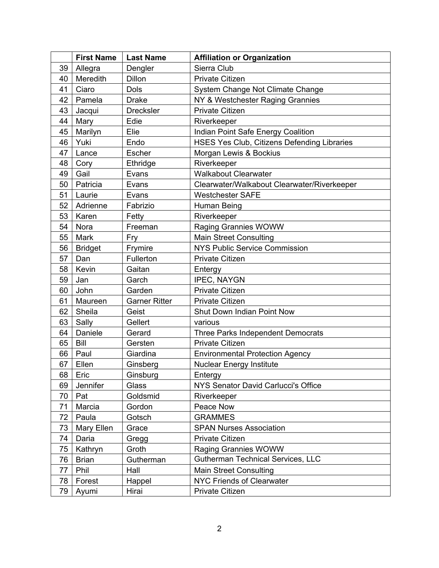|    | <b>First Name</b> | <b>Last Name</b>     | <b>Affiliation or Organization</b>          |
|----|-------------------|----------------------|---------------------------------------------|
| 39 | Allegra           | Dengler              | Sierra Club                                 |
| 40 | Meredith          | Dillon               | <b>Private Citizen</b>                      |
| 41 | Ciaro             | <b>Dols</b>          | System Change Not Climate Change            |
| 42 | Pamela            | <b>Drake</b>         | NY & Westchester Raging Grannies            |
| 43 | Jacqui            | <b>Drecksler</b>     | <b>Private Citizen</b>                      |
| 44 | Mary              | Edie                 | Riverkeeper                                 |
| 45 | Marilyn           | Elie                 | Indian Point Safe Energy Coalition          |
| 46 | Yuki              | Endo                 | HSES Yes Club, Citizens Defending Libraries |
| 47 | Lance             | Escher               | Morgan Lewis & Bockius                      |
| 48 | Cory              | Ethridge             | Riverkeeper                                 |
| 49 | Gail              | Evans                | <b>Walkabout Clearwater</b>                 |
| 50 | Patricia          | Evans                | Clearwater/Walkabout Clearwater/Riverkeeper |
| 51 | Laurie            | Evans                | <b>Westchester SAFE</b>                     |
| 52 | Adrienne          | Fabrizio             | Human Being                                 |
| 53 | Karen             | Fetty                | Riverkeeper                                 |
| 54 | Nora              | Freeman              | Raging Grannies WOWW                        |
| 55 | Mark              | Fry                  | <b>Main Street Consulting</b>               |
| 56 | <b>Bridget</b>    | Frymire              | NYS Public Service Commission               |
| 57 | Dan               | Fullerton            | <b>Private Citizen</b>                      |
| 58 | Kevin             | Gaitan               | Entergy                                     |
| 59 | Jan               | Garch                | <b>IPEC, NAYGN</b>                          |
| 60 | John              | Garden               | <b>Private Citizen</b>                      |
| 61 | Maureen           | <b>Garner Ritter</b> | <b>Private Citizen</b>                      |
| 62 | Sheila            | Geist                | Shut Down Indian Point Now                  |
| 63 | Sally             | Gellert              | various                                     |
| 64 | Daniele           | Gerard               | Three Parks Independent Democrats           |
| 65 | Bill              | Gersten              | <b>Private Citizen</b>                      |
| 66 | Paul              | Giardina             | <b>Environmental Protection Agency</b>      |
| 67 | Ellen             | Ginsberg             | <b>Nuclear Energy Institute</b>             |
| 68 | Eric              | Ginsburg             | Entergy                                     |
| 69 | Jennifer          | Glass                | NYS Senator David Carlucci's Office         |
| 70 | Pat               | Goldsmid             | Riverkeeper                                 |
| 71 | Marcia            | Gordon               | Peace Now                                   |
| 72 | Paula             | Gotsch               | <b>GRAMMES</b>                              |
| 73 | Mary Ellen        | Grace                | <b>SPAN Nurses Association</b>              |
| 74 | Daria             | Gregg                | <b>Private Citizen</b>                      |
| 75 | Kathryn           | Groth                | <b>Raging Grannies WOWW</b>                 |
| 76 | <b>Brian</b>      | Gutherman            | <b>Gutherman Technical Services, LLC</b>    |
| 77 | Phil              | Hall                 | <b>Main Street Consulting</b>               |
| 78 | Forest            | Happel               | NYC Friends of Clearwater                   |
| 79 | Ayumi             | Hirai                | Private Citizen                             |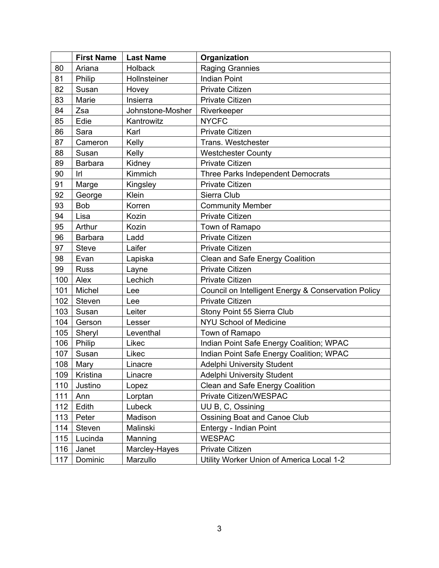|     | <b>First Name</b> | <b>Last Name</b> | Organization                                        |
|-----|-------------------|------------------|-----------------------------------------------------|
| 80  | Ariana            | <b>Holback</b>   | <b>Raging Grannies</b>                              |
| 81  | Philip            | Hollnsteiner     | <b>Indian Point</b>                                 |
| 82  | Susan             | Hovey            | <b>Private Citizen</b>                              |
| 83  | Marie             | Insierra         | <b>Private Citizen</b>                              |
| 84  | Zsa               | Johnstone-Mosher | Riverkeeper                                         |
| 85  | Edie              | Kantrowitz       | <b>NYCFC</b>                                        |
| 86  | Sara              | Karl             | <b>Private Citizen</b>                              |
| 87  | Cameron           | Kelly            | Trans. Westchester                                  |
| 88  | Susan             | Kelly            | <b>Westchester County</b>                           |
| 89  | <b>Barbara</b>    | Kidney           | <b>Private Citizen</b>                              |
| 90  | Irl               | Kimmich          | Three Parks Independent Democrats                   |
| 91  | Marge             | Kingsley         | <b>Private Citizen</b>                              |
| 92  | George            | Klein            | Sierra Club                                         |
| 93  | <b>Bob</b>        | Korren           | <b>Community Member</b>                             |
| 94  | Lisa              | Kozin            | <b>Private Citizen</b>                              |
| 95  | Arthur            | Kozin            | Town of Ramapo                                      |
| 96  | <b>Barbara</b>    | Ladd             | <b>Private Citizen</b>                              |
| 97  | <b>Steve</b>      | Laifer           | <b>Private Citizen</b>                              |
| 98  | Evan              | Lapiska          | Clean and Safe Energy Coalition                     |
| 99  | <b>Russ</b>       | Layne            | <b>Private Citizen</b>                              |
| 100 | Alex              | Lechich          | <b>Private Citizen</b>                              |
| 101 | Michel            | Lee              | Council on Intelligent Energy & Conservation Policy |
| 102 | Steven            | Lee              | <b>Private Citizen</b>                              |
| 103 | Susan             | Leiter           | Stony Point 55 Sierra Club                          |
| 104 | Gerson            | Lesser           | <b>NYU School of Medicine</b>                       |
| 105 | Sheryl            | Leventhal        | Town of Ramapo                                      |
| 106 | Philip            | Likec            | Indian Point Safe Energy Coalition; WPAC            |
| 107 | Susan             | Likec            | Indian Point Safe Energy Coalition; WPAC            |
| 108 | Mary              | Linacre          | <b>Adelphi University Student</b>                   |
| 109 | Kristina          | Linacre          | Adelphi University Student                          |
| 110 | Justino           | Lopez            | Clean and Safe Energy Coalition                     |
| 111 | Ann               | Lorptan          | Private Citizen/WESPAC                              |
| 112 | Edith             | Lubeck           | UU B, C, Ossining                                   |
| 113 | Peter             | Madison          | <b>Ossining Boat and Canoe Club</b>                 |
| 114 | Steven            | Malinski         | Entergy - Indian Point                              |
| 115 | Lucinda           | Manning          | <b>WESPAC</b>                                       |
| 116 | Janet             | Marcley-Hayes    | <b>Private Citizen</b>                              |
| 117 | Dominic           | Marzullo         | Utility Worker Union of America Local 1-2           |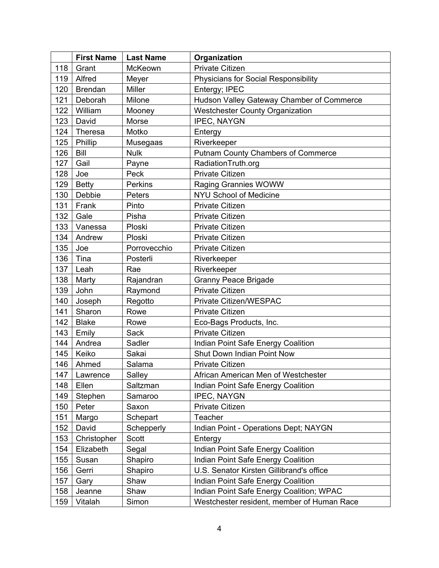|     | <b>First Name</b> | <b>Last Name</b> | Organization                                |
|-----|-------------------|------------------|---------------------------------------------|
| 118 | Grant             | McKeown          | <b>Private Citizen</b>                      |
| 119 | Alfred            | Meyer            | <b>Physicians for Social Responsibility</b> |
| 120 | <b>Brendan</b>    | <b>Miller</b>    | Entergy; IPEC                               |
| 121 | Deborah           | Milone           | Hudson Valley Gateway Chamber of Commerce   |
| 122 | William           | Mooney           | <b>Westchester County Organization</b>      |
| 123 | David             | Morse            | <b>IPEC, NAYGN</b>                          |
| 124 | <b>Theresa</b>    | Motko            | Entergy                                     |
| 125 | Phillip           | Musegaas         | Riverkeeper                                 |
| 126 | Bill              | <b>Nulk</b>      | <b>Putnam County Chambers of Commerce</b>   |
| 127 | Gail              | Payne            | RadiationTruth.org                          |
| 128 | Joe               | Peck             | <b>Private Citizen</b>                      |
| 129 | <b>Betty</b>      | Perkins          | Raging Grannies WOWW                        |
| 130 | Debbie            | Peters           | NYU School of Medicine                      |
| 131 | Frank             | Pinto            | Private Citizen                             |
| 132 | Gale              | Pisha            | <b>Private Citizen</b>                      |
| 133 | Vanessa           | Ploski           | Private Citizen                             |
| 134 | Andrew            | Ploski           | <b>Private Citizen</b>                      |
| 135 | Joe               | Porrovecchio     | <b>Private Citizen</b>                      |
| 136 | Tina              | Posterli         | Riverkeeper                                 |
| 137 | Leah              | Rae              | Riverkeeper                                 |
| 138 | Marty             | Rajandran        | <b>Granny Peace Brigade</b>                 |
| 139 | John              | Raymond          | <b>Private Citizen</b>                      |
| 140 | Joseph            | Regotto          | Private Citizen/WESPAC                      |
| 141 | Sharon            | Rowe             | <b>Private Citizen</b>                      |
| 142 | <b>Blake</b>      | Rowe             | Eco-Bags Products, Inc.                     |
| 143 | Emily             | <b>Sack</b>      | <b>Private Citizen</b>                      |
| 144 | Andrea            | Sadler           | Indian Point Safe Energy Coalition          |
| 145 | Keiko             | Sakai            | Shut Down Indian Point Now                  |
| 146 | Ahmed             | Salama           | Private Citizen                             |
| 147 | Lawrence          | Salley           | African American Men of Westchester         |
| 148 | Ellen             | Saltzman         | Indian Point Safe Energy Coalition          |
| 149 | Stephen           | Samaroo          | <b>IPEC, NAYGN</b>                          |
| 150 | Peter             | Saxon            | Private Citizen                             |
| 151 | Margo             | Schepart         | Teacher                                     |
| 152 | David             | Schepperly       | Indian Point - Operations Dept; NAYGN       |
| 153 | Christopher       | Scott            | Entergy                                     |
| 154 | Elizabeth         | Segal            | Indian Point Safe Energy Coalition          |
| 155 | Susan             | Shapiro          | Indian Point Safe Energy Coalition          |
| 156 | Gerri             | Shapiro          | U.S. Senator Kirsten Gillibrand's office    |
| 157 | Gary              | Shaw             | Indian Point Safe Energy Coalition          |
| 158 | Jeanne            | Shaw             | Indian Point Safe Energy Coalition; WPAC    |
| 159 | Vitalah           | Simon            | Westchester resident, member of Human Race  |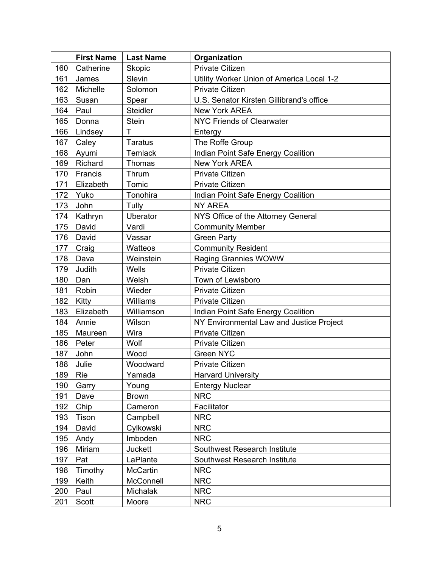|     | <b>First Name</b> | <b>Last Name</b> | Organization                              |
|-----|-------------------|------------------|-------------------------------------------|
| 160 | Catherine         | <b>Skopic</b>    | <b>Private Citizen</b>                    |
| 161 | James             | Slevin           | Utility Worker Union of America Local 1-2 |
| 162 | Michelle          | Solomon          | <b>Private Citizen</b>                    |
| 163 | Susan             | Spear            | U.S. Senator Kirsten Gillibrand's office  |
| 164 | Paul              | <b>Steidler</b>  | <b>New York AREA</b>                      |
| 165 | Donna             | <b>Stein</b>     | <b>NYC Friends of Clearwater</b>          |
| 166 | Lindsey           | T                | Entergy                                   |
| 167 | Caley             | <b>Taratus</b>   | The Roffe Group                           |
| 168 | Ayumi             | <b>Temlack</b>   | Indian Point Safe Energy Coalition        |
| 169 | Richard           | Thomas           | <b>New York AREA</b>                      |
| 170 | Francis           | Thrum            | <b>Private Citizen</b>                    |
| 171 | Elizabeth         | Tomic            | <b>Private Citizen</b>                    |
| 172 | Yuko              | Tonohira         | Indian Point Safe Energy Coalition        |
| 173 | John              | Tully            | <b>NY AREA</b>                            |
| 174 | Kathryn           | Uberator         | NYS Office of the Attorney General        |
| 175 | David             | Vardi            | <b>Community Member</b>                   |
| 176 | David             | Vassar           | <b>Green Party</b>                        |
| 177 | Craig             | Watteos          | <b>Community Resident</b>                 |
| 178 | Dava              | Weinstein        | Raging Grannies WOWW                      |
| 179 | Judith            | Wells            | <b>Private Citizen</b>                    |
| 180 | Dan               | Welsh            | Town of Lewisboro                         |
| 181 | Robin             | Wieder           | <b>Private Citizen</b>                    |
| 182 | Kitty             | Williams         | Private Citizen                           |
| 183 | Elizabeth         | Williamson       | Indian Point Safe Energy Coalition        |
| 184 | Annie             | Wilson           | NY Environmental Law and Justice Project  |
| 185 | Maureen           | Wira             | <b>Private Citizen</b>                    |
| 186 | Peter             | Wolf             | <b>Private Citizen</b>                    |
| 187 | John              | Wood             | Green NYC                                 |
| 188 | Julie             | Woodward         | Private Citizen                           |
| 189 | Rie               | Yamada           | <b>Harvard University</b>                 |
| 190 | Garry             | Young            | <b>Entergy Nuclear</b>                    |
| 191 | Dave              | <b>Brown</b>     | <b>NRC</b>                                |
| 192 | Chip              | Cameron          | Facilitator                               |
| 193 | Tison             | Campbell         | <b>NRC</b>                                |
| 194 | David             | Cylkowski        | <b>NRC</b>                                |
| 195 | Andy              | Imboden          | <b>NRC</b>                                |
| 196 | Miriam            | Juckett          | Southwest Research Institute              |
| 197 | Pat               | LaPlante         | Southwest Research Institute              |
| 198 | Timothy           | McCartin         | <b>NRC</b>                                |
| 199 | Keith             | McConnell        | <b>NRC</b>                                |
| 200 | Paul              | Michalak         | <b>NRC</b>                                |
| 201 | Scott             | Moore            | <b>NRC</b>                                |